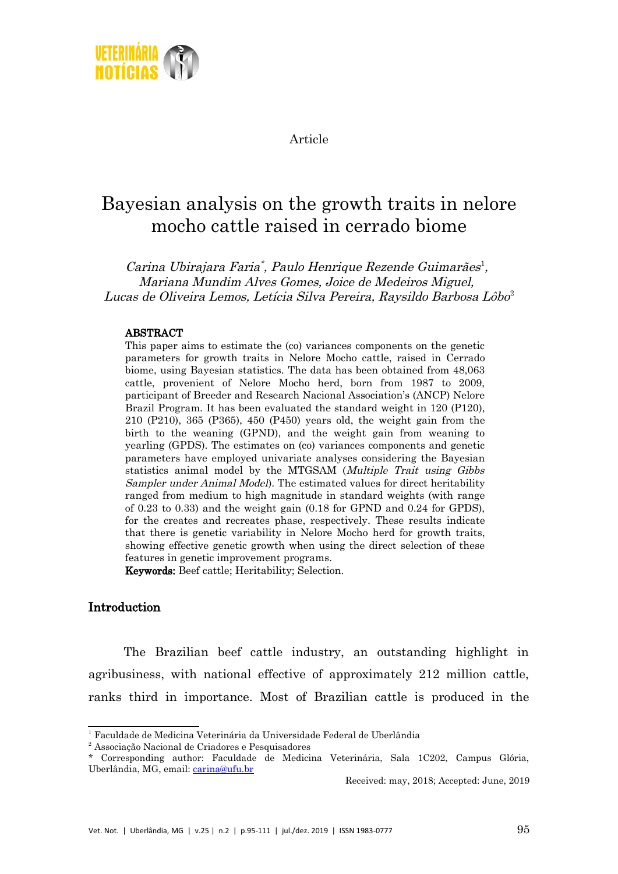

Article

# Bayesian analysis on the growth traits in nelore mocho cattle raised in cerrado biome

Carina Ubirajara Faria<sup>\*</sup>, Paulo Henrique Rezende Guimarães<sup>[1](#page-0-0)</sup>, Mariana Mundim Alves Gomes, Joice de Medeiros Miguel, Lucas de Oliveira Lemos, Letícia Silva Pereira, Raysildo Barbosa Lôbo [2](#page-0-1)

#### ABSTRACT

This paper aims to estimate the (co) variances components on the genetic parameters for growth traits in Nelore Mocho cattle, raised in Cerrado biome, using Bayesian statistics. The data has been obtained from 48,063 cattle, provenient of Nelore Mocho herd, born from 1987 to 2009, participant of Breeder and Research Nacional Association's (ANCP) Nelore Brazil Program. It has been evaluated the standard weight in 120 (P120), 210 (P210), 365 (P365), 450 (P450) years old, the weight gain from the birth to the weaning (GPND), and the weight gain from weaning to yearling (GPDS). The estimates on (co) variances components and genetic parameters have employed univariate analyses considering the Bayesian statistics animal model by the MTGSAM (Multiple Trait using Gibbs Sampler under Animal Model). The estimated values for direct heritability ranged from medium to high magnitude in standard weights (with range of 0.23 to 0.33) and the weight gain (0.18 for GPND and 0.24 for GPDS), for the creates and recreates phase, respectively. These results indicate that there is genetic variability in Nelore Mocho herd for growth traits, showing effective genetic growth when using the direct selection of these features in genetic improvement programs.

Keywords: Beef cattle; Heritability; Selection.

# Introduction

The Brazilian beef cattle industry, an outstanding highlight in agribusiness, with national effective of approximately 212 million cattle, ranks third in importance. Most of Brazilian cattle is produced in the

Received: may, 2018; Accepted: June, 2019

<span id="page-0-0"></span><sup>1</sup>Faculdade de Medicina Veterinária da Universidade Federal de Uberlândia

<span id="page-0-1"></span><sup>2</sup>Associação Nacional de Criadores e Pesquisadores

<sup>\*</sup> Corresponding author: Faculdade de Medicina Veterinária, Sala 1C202, Campus Glória, Uberlândia, MG, email: [carina@ufu.br](mailto:carina@ufu.br)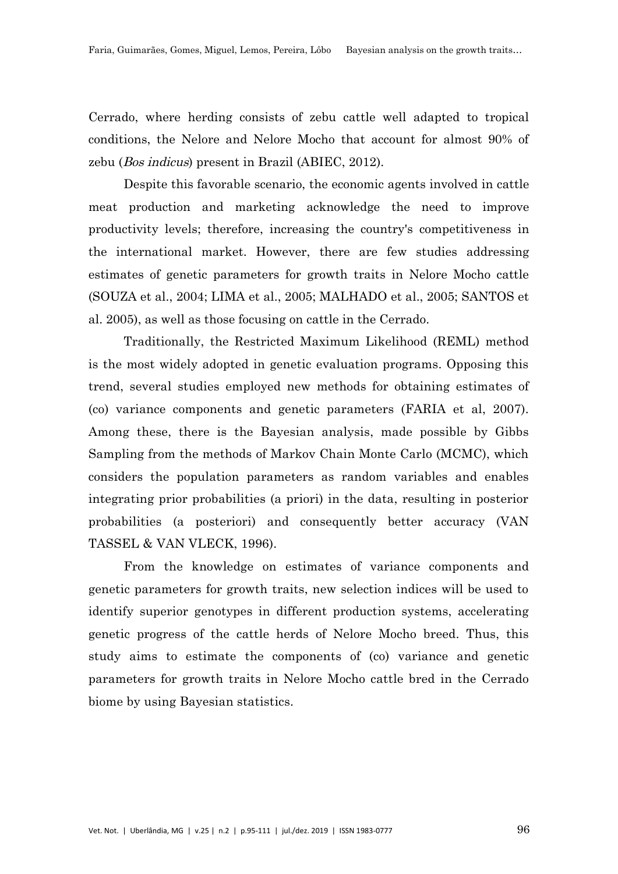Cerrado, where herding consists of zebu cattle well adapted to tropical conditions, the Nelore and Nelore Mocho that account for almost 90% of zebu (Bos indicus) present in Brazil (ABIEC, 2012).

Despite this favorable scenario, the economic agents involved in cattle meat production and marketing acknowledge the need to improve productivity levels; therefore, increasing the country's competitiveness in the international market. However, there are few studies addressing estimates of genetic parameters for growth traits in Nelore Mocho cattle (SOUZA et al., 2004; LIMA et al., 2005; MALHADO et al., 2005; SANTOS et al. 2005), as well as those focusing on cattle in the Cerrado.

Traditionally, the Restricted Maximum Likelihood (REML) method is the most widely adopted in genetic evaluation programs. Opposing this trend, several studies employed new methods for obtaining estimates of (co) variance components and genetic parameters (FARIA et al, 2007). Among these, there is the Bayesian analysis, made possible by Gibbs Sampling from the methods of Markov Chain Monte Carlo (MCMC), which considers the population parameters as random variables and enables integrating prior probabilities (a priori) in the data, resulting in posterior probabilities (a posteriori) and consequently better accuracy (VAN TASSEL & VAN VLECK, 1996).

From the knowledge on estimates of variance components and genetic parameters for growth traits, new selection indices will be used to identify superior genotypes in different production systems, accelerating genetic progress of the cattle herds of Nelore Mocho breed. Thus, this study aims to estimate the components of (co) variance and genetic parameters for growth traits in Nelore Mocho cattle bred in the Cerrado biome by using Bayesian statistics.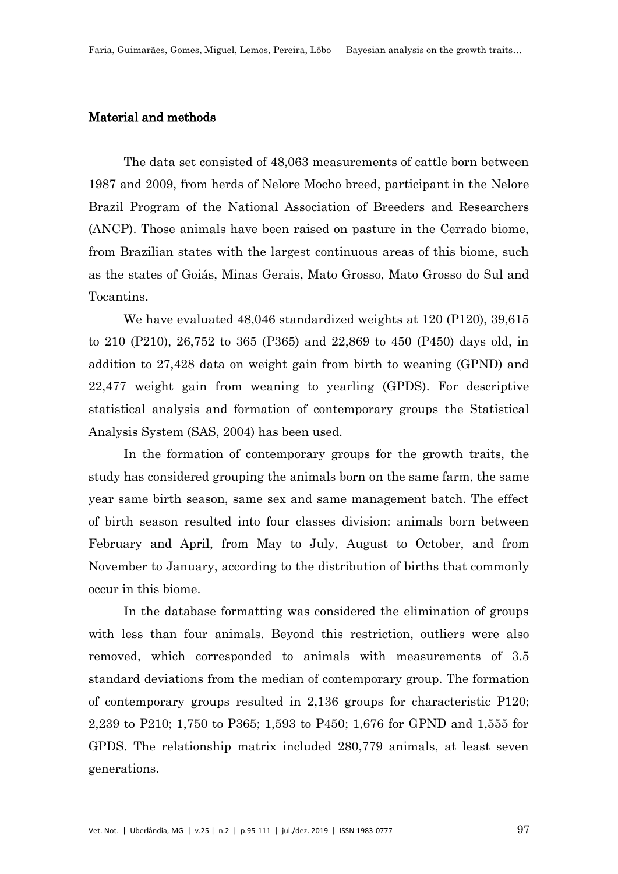# Material and methods

The data set consisted of 48,063 measurements of cattle born between 1987 and 2009, from herds of Nelore Mocho breed, participant in the Nelore Brazil Program of the National Association of Breeders and Researchers (ANCP). Those animals have been raised on pasture in the Cerrado biome, from Brazilian states with the largest continuous areas of this biome, such as the states of Goiás, Minas Gerais, Mato Grosso, Mato Grosso do Sul and Tocantins.

We have evaluated 48,046 standardized weights at 120 (P120), 39,615 to 210 (P210), 26,752 to 365 (P365) and 22,869 to 450 (P450) days old, in addition to 27,428 data on weight gain from birth to weaning (GPND) and 22,477 weight gain from weaning to yearling (GPDS). For descriptive statistical analysis and formation of contemporary groups the Statistical Analysis System (SAS, 2004) has been used.

In the formation of contemporary groups for the growth traits, the study has considered grouping the animals born on the same farm, the same year same birth season, same sex and same management batch. The effect of birth season resulted into four classes division: animals born between February and April, from May to July, August to October, and from November to January, according to the distribution of births that commonly occur in this biome.

In the database formatting was considered the elimination of groups with less than four animals. Beyond this restriction, outliers were also removed, which corresponded to animals with measurements of 3.5 standard deviations from the median of contemporary group. The formation of contemporary groups resulted in 2,136 groups for characteristic P120; 2,239 to P210; 1,750 to P365; 1,593 to P450; 1,676 for GPND and 1,555 for GPDS. The relationship matrix included 280,779 animals, at least seven generations.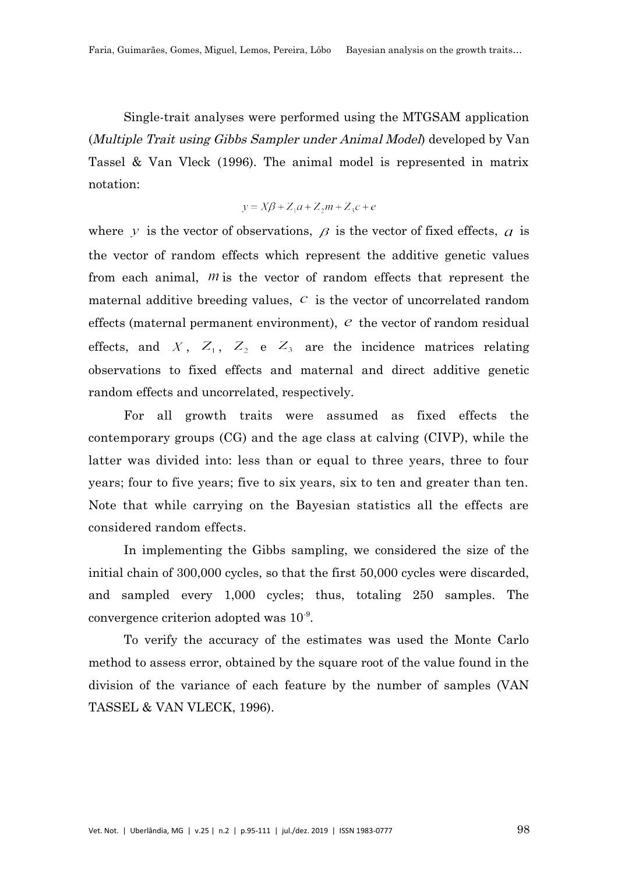Single-trait analyses were performed using the MTGSAM application (Multiple Trait using Gibbs Sampler under Animal Model) developed by Van Tassel & Van Vleck (1996). The animal model is represented in matrix notation:

$$
y = X\beta + Z_1a + Z_2m + Z_3c + e
$$

where y is the vector of observations,  $\beta$  is the vector of fixed effects,  $\alpha$  is the vector of random effects which represent the additive genetic values from each animal,  $m$  is the vector of random effects that represent the maternal additive breeding values,  $c$  is the vector of uncorrelated random effects (maternal permanent environment),  $e$  the vector of random residual effects, and X,  $Z_1$ ,  $Z_2$  e  $Z_3$  are the incidence matrices relating observations to fixed effects and maternal and direct additive genetic random effects and uncorrelated, respectively.

For all growth traits were assumed as fixed effects the contemporary groups (CG) and the age class at calving (CIVP), while the latter was divided into: less than or equal to three years, three to four years; four to five years; five to six years, six to ten and greater than ten. Note that while carrying on the Bayesian statistics all the effects are considered random effects.

In implementing the Gibbs sampling, we considered the size of the initial chain of 300,000 cycles, so that the first 50,000 cycles were discarded, and sampled every 1,000 cycles; thus, totaling 250 samples. The convergence criterion adopted was  $10^{-9}$ .

To verify the accuracy of the estimates was used the Monte Carlo method to assess error, obtained by the square root of the value found in the division of the variance of each feature by the number of samples (VAN TASSEL & VAN VLECK, 1996).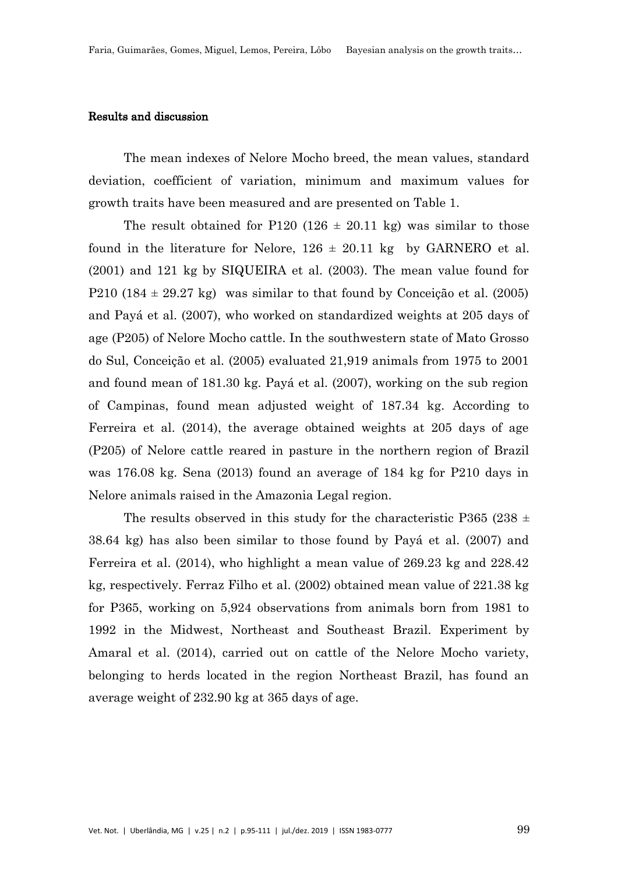### Results and discussion

The mean indexes of Nelore Mocho breed, the mean values, standard deviation, coefficient of variation, minimum and maximum values for growth traits have been measured and are presented on Table 1.

The result obtained for P120 (126  $\pm$  20.11 kg) was similar to those found in the literature for Nelore,  $126 \pm 20.11$  kg by GARNERO et al. (2001) and 121 kg by SIQUEIRA et al. (2003). The mean value found for P210 (184  $\pm$  29.27 kg) was similar to that found by Conceição et al. (2005) and Payá et al. (2007), who worked on standardized weights at 205 days of age (P205) of Nelore Mocho cattle. In the southwestern state of Mato Grosso do Sul, Conceição et al. (2005) evaluated 21,919 animals from 1975 to 2001 and found mean of 181.30 kg. Payá et al. (2007), working on the sub region of Campinas, found mean adjusted weight of 187.34 kg. According to Ferreira et al. (2014), the average obtained weights at 205 days of age (P205) of Nelore cattle reared in pasture in the northern region of Brazil was 176.08 kg. Sena (2013) found an average of 184 kg for P210 days in Nelore animals raised in the Amazonia Legal region.

The results observed in this study for the characteristic P365 (238  $\pm$ 38.64 kg) has also been similar to those found by Payá et al. (2007) and Ferreira et al. (2014), who highlight a mean value of 269.23 kg and 228.42 kg, respectively. Ferraz Filho et al. (2002) obtained mean value of 221.38 kg for P365, working on 5,924 observations from animals born from 1981 to 1992 in the Midwest, Northeast and Southeast Brazil. Experiment by Amaral et al. (2014), carried out on cattle of the Nelore Mocho variety, belonging to herds located in the region Northeast Brazil, has found an average weight of 232.90 kg at 365 days of age.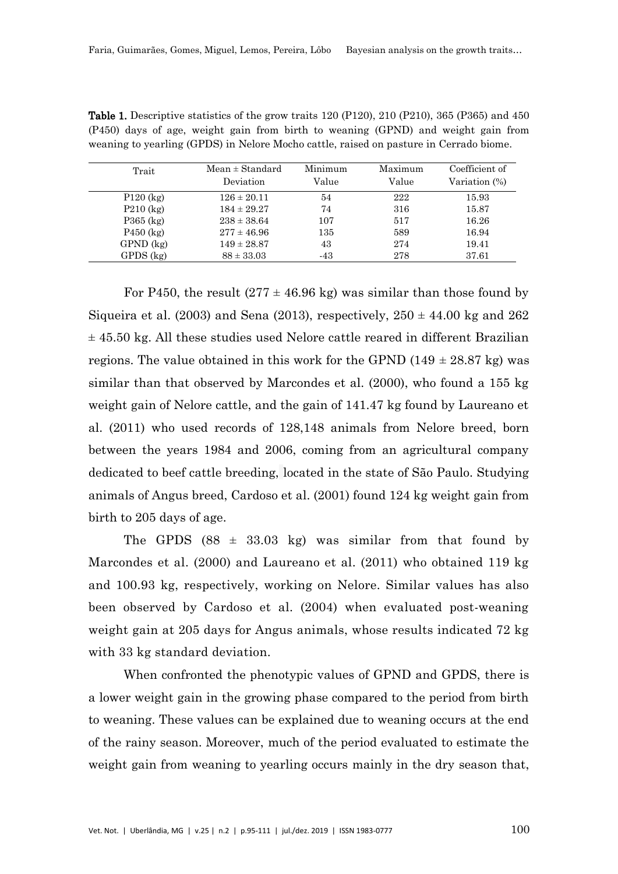| Trait         | $Mean \pm Standard$ | Minimum | Maximum | Coefficient of |
|---------------|---------------------|---------|---------|----------------|
|               | Deviation           | Value   | Value   | Variation (%)  |
| $P120$ (kg)   | $126 \pm 20.11$     | 54      | 222     | 15.93          |
| $P210$ (kg)   | $184 \pm 29.27$     | 74      | 316     | 15.87          |
| $P365$ (kg)   | $238 \pm 38.64$     | 107     | 517     | 16.26          |
| $P450$ (kg)   | $277 \pm 46.96$     | 135     | 589     | 16.94          |
| $GPND$ $(kg)$ | $149 \pm 28.87$     | 43      | 274     | 19.41          |
| $GPDS$ $(kg)$ | $88 \pm 33.03$      | $-43$   | 278     | 37.61          |

|  |  |  |  |  | <b>Table 1.</b> Descriptive statistics of the grow traits 120 (P120), 210 (P210), 365 (P365) and 450 |  |  |  |
|--|--|--|--|--|------------------------------------------------------------------------------------------------------|--|--|--|
|  |  |  |  |  | (P450) days of age, weight gain from birth to weaning (GPND) and weight gain from                    |  |  |  |
|  |  |  |  |  | weaning to yearling (GPDS) in Nelore Mocho cattle, raised on pasture in Cerrado biome.               |  |  |  |

For P450, the result  $(277 \pm 46.96 \text{ kg})$  was similar than those found by Siqueira et al. (2003) and Sena (2013), respectively,  $250 \pm 44.00$  kg and  $262$  $\pm$  45.50 kg. All these studies used Nelore cattle reared in different Brazilian regions. The value obtained in this work for the GPND (149  $\pm$  28.87 kg) was similar than that observed by Marcondes et al. (2000), who found a 155 kg weight gain of Nelore cattle, and the gain of 141.47 kg found by Laureano et al. (2011) who used records of 128,148 animals from Nelore breed, born between the years 1984 and 2006, coming from an agricultural company dedicated to beef cattle breeding, located in the state of São Paulo. Studying animals of Angus breed, Cardoso et al. (2001) found 124 kg weight gain from birth to 205 days of age.

The GPDS  $(88 \pm 33.03 \text{ kg})$  was similar from that found by Marcondes et al. (2000) and Laureano et al. (2011) who obtained 119 kg and 100.93 kg, respectively, working on Nelore. Similar values has also been observed by Cardoso et al. (2004) when evaluated post-weaning weight gain at 205 days for Angus animals, whose results indicated 72 kg with 33 kg standard deviation.

When confronted the phenotypic values of GPND and GPDS, there is a lower weight gain in the growing phase compared to the period from birth to weaning. These values can be explained due to weaning occurs at the end of the rainy season. Moreover, much of the period evaluated to estimate the weight gain from weaning to yearling occurs mainly in the dry season that,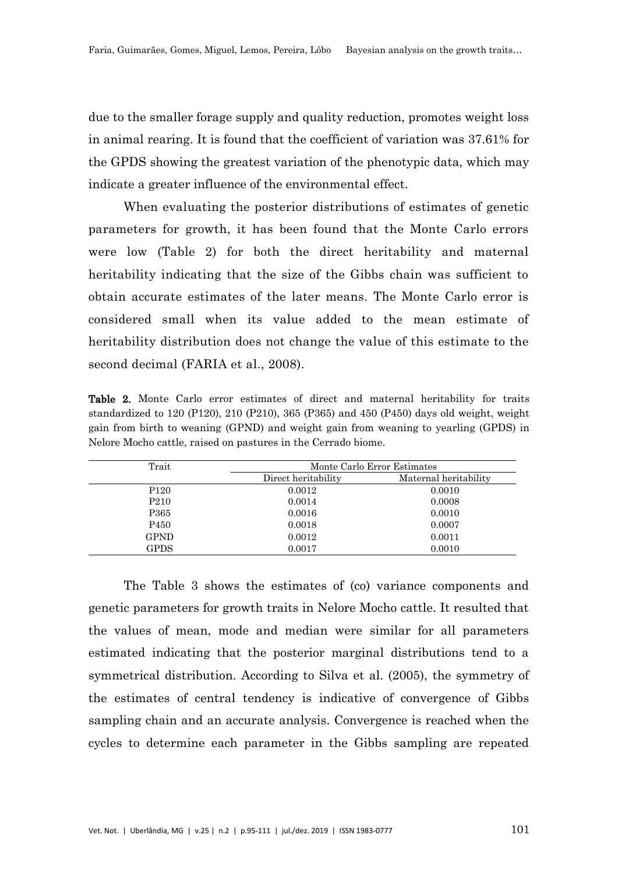due to the smaller forage supply and quality reduction, promotes weight loss in animal rearing. It is found that the coefficient of variation was 37.61% for the GPDS showing the greatest variation of the phenotypic data, which may indicate a greater influence of the environmental effect.

When evaluating the posterior distributions of estimates of genetic parameters for growth, it has been found that the Monte Carlo errors were low (Table 2) for both the direct heritability and maternal heritability indicating that the size of the Gibbs chain was sufficient to obtain accurate estimates of the later means. The Monte Carlo error is considered small when its value added to the mean estimate of heritability distribution does not change the value of this estimate to the second decimal (FARIA et al., 2008).

Table 2. Monte Carlo error estimates of direct and maternal heritability for traits standardized to 120 (P120), 210 (P210), 365 (P365) and 450 (P450) days old weight, weight gain from birth to weaning (GPND) and weight gain from weaning to yearling (GPDS) in Nelore Mocho cattle, raised on pastures in the Cerrado biome.

| Trait            | Monte Carlo Error Estimates |                       |  |  |  |  |
|------------------|-----------------------------|-----------------------|--|--|--|--|
|                  | Direct heritability         | Maternal heritability |  |  |  |  |
| P <sub>120</sub> | 0.0012                      | 0.0010                |  |  |  |  |
| P <sub>210</sub> | 0.0014                      | 0.0008                |  |  |  |  |
| P365             | 0.0016                      | 0.0010                |  |  |  |  |
| P <sub>450</sub> | 0.0018                      | 0.0007                |  |  |  |  |
| <b>GPND</b>      | 0.0012                      | 0.0011                |  |  |  |  |
| <b>GPDS</b>      | 0.0017                      | 0.0010                |  |  |  |  |

The Table 3 shows the estimates of (co) variance components and genetic parameters for growth traits in Nelore Mocho cattle. It resulted that the values of mean, mode and median were similar for all parameters estimated indicating that the posterior marginal distributions tend to a symmetrical distribution. According to Silva et al. (2005), the symmetry of the estimates of central tendency is indicative of convergence of Gibbs sampling chain and an accurate analysis. Convergence is reached when the cycles to determine each parameter in the Gibbs sampling are repeated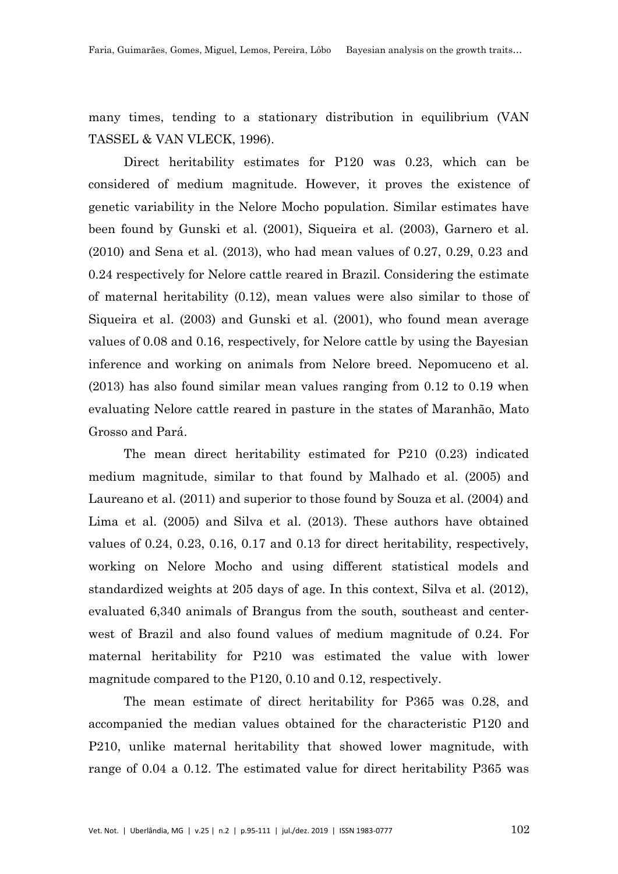many times, tending to a stationary distribution in equilibrium (VAN TASSEL & VAN VLECK, 1996).

Direct heritability estimates for P120 was 0.23, which can be considered of medium magnitude. However, it proves the existence of genetic variability in the Nelore Mocho population. Similar estimates have been found by Gunski et al. (2001), Siqueira et al. (2003), Garnero et al. (2010) and Sena et al. (2013), who had mean values of 0.27, 0.29, 0.23 and 0.24 respectively for Nelore cattle reared in Brazil. Considering the estimate of maternal heritability (0.12), mean values were also similar to those of Siqueira et al. (2003) and Gunski et al. (2001), who found mean average values of 0.08 and 0.16, respectively, for Nelore cattle by using the Bayesian inference and working on animals from Nelore breed. Nepomuceno et al. (2013) has also found similar mean values ranging from 0.12 to 0.19 when evaluating Nelore cattle reared in pasture in the states of Maranhão, Mato Grosso and Pará.

The mean direct heritability estimated for P210 (0.23) indicated medium magnitude, similar to that found by Malhado et al. (2005) and Laureano et al. (2011) and superior to those found by Souza et al. (2004) and Lima et al. (2005) and Silva et al. (2013). These authors have obtained values of 0.24, 0.23, 0.16, 0.17 and 0.13 for direct heritability, respectively, working on Nelore Mocho and using different statistical models and standardized weights at 205 days of age. In this context, Silva et al. (2012), evaluated 6,340 animals of Brangus from the south, southeast and centerwest of Brazil and also found values of medium magnitude of 0.24. For maternal heritability for P210 was estimated the value with lower magnitude compared to the P120, 0.10 and 0.12, respectively.

The mean estimate of direct heritability for P365 was 0.28, and accompanied the median values obtained for the characteristic P120 and P210, unlike maternal heritability that showed lower magnitude, with range of 0.04 a 0.12. The estimated value for direct heritability P365 was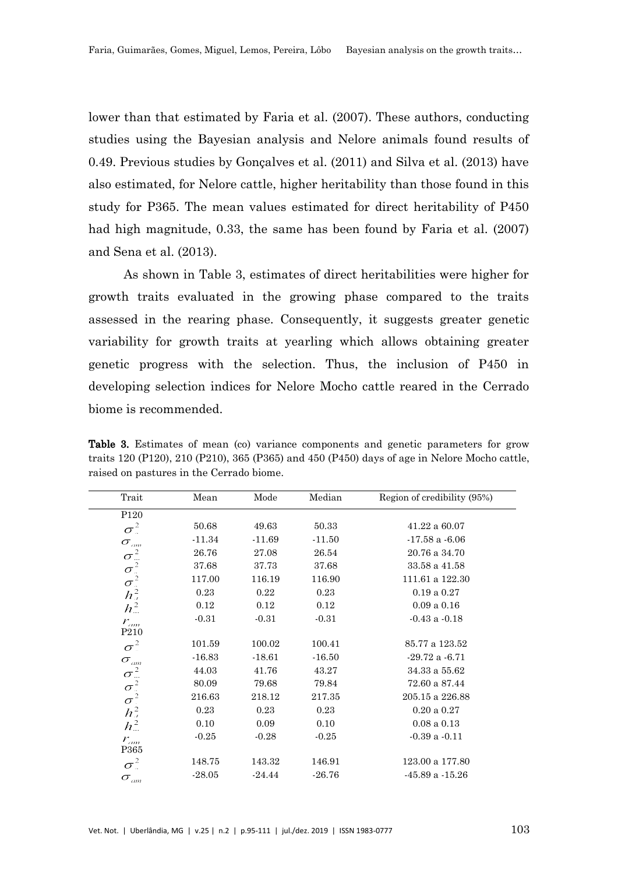lower than that estimated by Faria et al. (2007). These authors, conducting studies using the Bayesian analysis and Nelore animals found results of 0.49. Previous studies by Gonçalves et al. (2011) and Silva et al. (2013) have also estimated, for Nelore cattle, higher heritability than those found in this study for P365. The mean values estimated for direct heritability of P450 had high magnitude, 0.33, the same has been found by Faria et al. (2007) and Sena et al. (2013).

As shown in Table 3, estimates of direct heritabilities were higher for growth traits evaluated in the growing phase compared to the traits assessed in the rearing phase. Consequently, it suggests greater genetic variability for growth traits at yearling which allows obtaining greater genetic progress with the selection. Thus, the inclusion of P450 in developing selection indices for Nelore Mocho cattle reared in the Cerrado biome is recommended.

Table 3. Estimates of mean (co) variance components and genetic parameters for grow traits 120 (P120), 210 (P210), 365 (P365) and 450 (P450) days of age in Nelore Mocho cattle, raised on pastures in the Cerrado biome.

| Trait                                           | Mean     | Mode     | Median   | Region of credibility (95%) |
|-------------------------------------------------|----------|----------|----------|-----------------------------|
| P <sub>120</sub>                                |          |          |          |                             |
| $\sigma^2$                                      | 50.68    | 49.63    | 50.33    | $41.22\ a\ 60.07$           |
| $\sigma_{\scriptscriptstyle\jmath\mskip-1mu m}$ | $-11.34$ | $-11.69$ | $-11.50$ | $-17.58$ a $-6.06$          |
| $\sigma^2$                                      | 26.76    | 27.08    | 26.54    | 20.76 a 34.70               |
| $\sigma^2$                                      | 37.68    | 37.73    | 37.68    | 33.58 a 41.58               |
| $\sigma^2$                                      | 117.00   | 116.19   | 116.90   | 111.61 a 122.30             |
| $h^2$                                           | 0.23     | 0.22     | 0.23     | 0.19a0.27                   |
| $h_{\dots}^2$                                   | 0.12     | 0.12     | 0.12     | 0.09a0.16                   |
| $r_{\scriptscriptstyle \sigma\!m}$              | $-0.31$  | $-0.31$  | $-0.31$  | $-0.43$ a $-0.18$           |
| P <sub>210</sub>                                |          |          |          |                             |
| $\sigma^2$                                      | 101.59   | 100.02   | 100.41   | 85.77 a 123.52              |
| $\sigma_{\scriptscriptstyle\it am}$             | $-16.83$ | $-18.61$ | $-16.50$ | $-29.72a - 6.71$            |
| $\sigma^2$                                      | 44.03    | 41.76    | 43.27    | 34.33 a 55.62               |
|                                                 | 80.09    | 79.68    | 79.84    | 72.60 a 87.44               |
| $\sigma^2$ <sub>2</sub>                         | 216.63   | 218.12   | 217.35   | 205.15 a 226.88             |
| $h^2_{\mu}$                                     | 0.23     | 0.23     | 0.23     | $0.20$ a $0.27$             |
| $h_{\dots}^2$                                   | 0.10     | 0.09     | 0.10     | $0.08$ a $0.13$             |
| $r_{\scriptscriptstyle am}$                     | $-0.25$  | $-0.28$  | $-0.25$  | $-0.39$ a $-0.11$           |
| P365                                            |          |          |          |                             |
| $\sigma^2$                                      | 148.75   | 143.32   | 146.91   | $123.00$ a $177.80\,$       |
| $\sigma_{\scriptscriptstyle \mu\nu}$            | $-28.05$ | $-24.44$ | $-26.76$ | $-45.89a -15.26$            |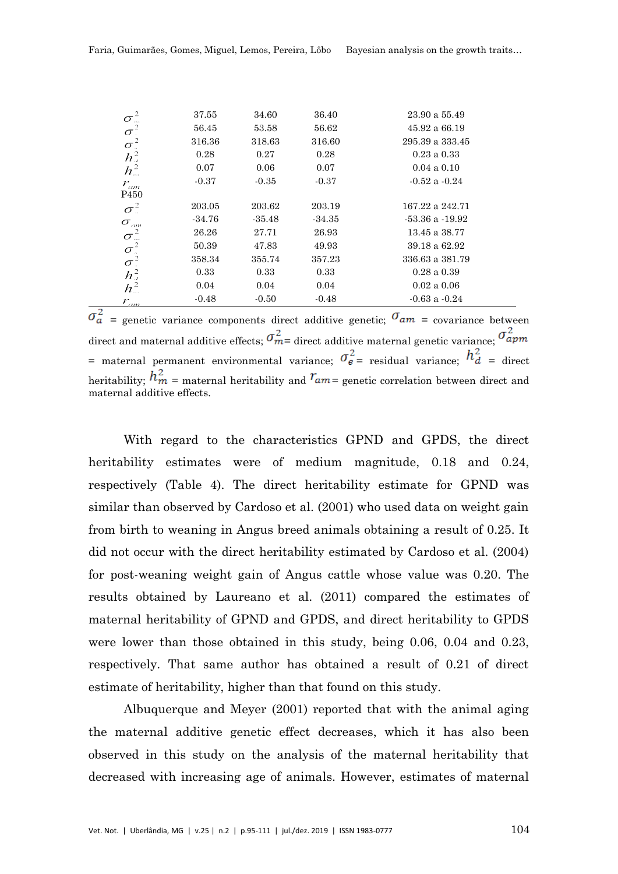|                                                       | 37.55    | 34.60    | 36.40    | 23.90 a 55.49       |
|-------------------------------------------------------|----------|----------|----------|---------------------|
| $\frac{\sigma_{\mathrm{r}}^2}{\sigma_{\mathrm{r}}^2}$ | 56.45    | 53.58    | 56.62    | 45.92 a 66.19       |
| $\sigma^2$                                            | 316.36   | 318.63   | 316.60   | 295.39 a 333.45     |
| $h^2$                                                 | 0.28     | 0.27     | 0.28     | $0.23$ a $0.33$     |
| $h_{\infty}^2$                                        | 0.07     | 0.06     | 0.07     | $0.04$ a $0.10$     |
| $r_{\scriptscriptstyle \sigma\!m}$                    | $-0.37$  | $-0.35$  | $-0.37$  | $-0.52$ a $-0.24$   |
| P <sub>450</sub>                                      |          |          |          |                     |
| $\sigma^2$                                            | 203.05   | 203.62   | 203.19   | 167.22 a 242.71     |
| $\sigma_{\scriptscriptstyle\it am}$                   | $-34.76$ | $-35.48$ | $-34.35$ | $-53.36$ a $-19.92$ |
| $\sigma^2$                                            | 26.26    | 27.71    | 26.93    | 13.45 a 38.77       |
|                                                       | 50.39    | 47.83    | 49.93    | 39.18 a 62.92       |
| $\frac{\sigma^2}{\sigma^2}$                           | 358.34   | 355.74   | 357.23   | 336.63 a 381.79     |
| $h^2_{\mu}$                                           | 0.33     | 0.33     | 0.33     | $0.28$ a $0.39$     |
| $h^2$                                                 | 0.04     | 0.04     | 0.04     | 0.02 a 0.06         |
| $r_{\scriptscriptstyle \sigma\sigma}$                 | $-0.48$  | $-0.50$  | $-0.48$  | $-0.63$ a $-0.24$   |
|                                                       |          |          |          |                     |

 $\sigma_a^2$  = genetic variance components direct additive genetic;  $\sigma_{am}$  = covariance between direct and maternal additive effects;  $\sigma_{m}^2$  direct additive maternal genetic variance;  $\sigma_{apm}^2$ = maternal permanent environmental variance;  $\sigma_{e}^2$  = residual variance;  $h_d^2$  = direct heritability;  $h_m^2$  = maternal heritability and  $r_{am}$  = genetic correlation between direct and maternal additive effects.

With regard to the characteristics GPND and GPDS, the direct heritability estimates were of medium magnitude, 0.18 and 0.24, respectively (Table 4). The direct heritability estimate for GPND was similar than observed by Cardoso et al. (2001) who used data on weight gain from birth to weaning in Angus breed animals obtaining a result of 0.25. It did not occur with the direct heritability estimated by Cardoso et al. (2004) for post-weaning weight gain of Angus cattle whose value was 0.20. The results obtained by Laureano et al. (2011) compared the estimates of maternal heritability of GPND and GPDS, and direct heritability to GPDS were lower than those obtained in this study, being 0.06, 0.04 and 0.23, respectively. That same author has obtained a result of 0.21 of direct estimate of heritability, higher than that found on this study.

Albuquerque and Meyer (2001) reported that with the animal aging the maternal additive genetic effect decreases, which it has also been observed in this study on the analysis of the maternal heritability that decreased with increasing age of animals. However, estimates of maternal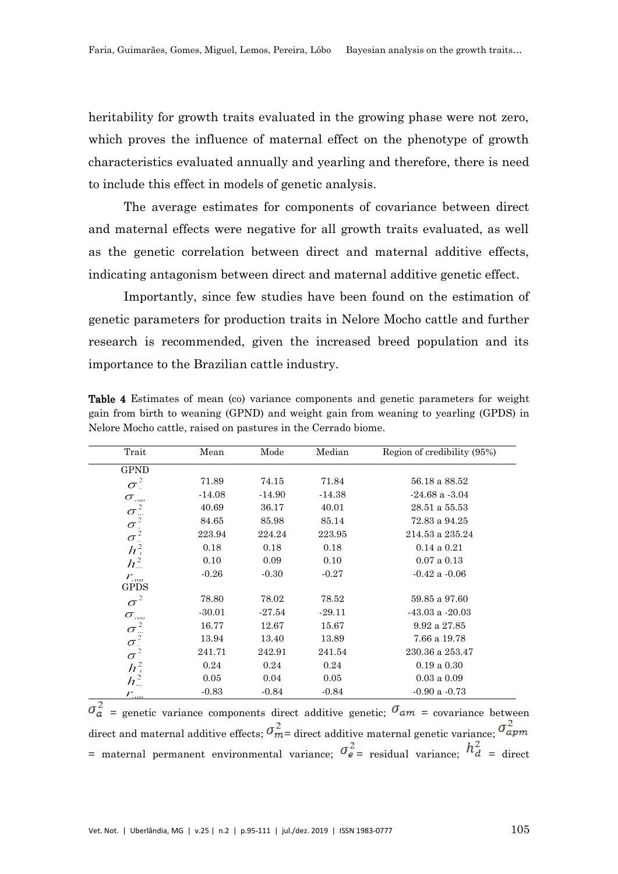heritability for growth traits evaluated in the growing phase were not zero, which proves the influence of maternal effect on the phenotype of growth characteristics evaluated annually and yearling and therefore, there is need to include this effect in models of genetic analysis.

The average estimates for components of covariance between direct and maternal effects were negative for all growth traits evaluated, as well as the genetic correlation between direct and maternal additive effects, indicating antagonism between direct and maternal additive genetic effect.

Importantly, since few studies have been found on the estimation of genetic parameters for production traits in Nelore Mocho cattle and further research is recommended, given the increased breed population and its importance to the Brazilian cattle industry.

| Trait                                   | Mean     | Mode     | Median   | Region of credibility (95%) |
|-----------------------------------------|----------|----------|----------|-----------------------------|
| <b>GPND</b>                             |          |          |          |                             |
| $\sigma^2$                              | 71.89    | 74.15    | 71.84    | 56.18 a 88.52               |
| $\sigma_{\scriptscriptstyle\it am}$     | $-14.08$ | $-14.90$ | $-14.38$ | $-24.68$ a $-3.04$          |
| $\sigma^2$                              | 40.69    | 36.17    | 40.01    | 28.51 a 55.53               |
|                                         | 84.65    | 85.98    | 85.14    | 72.83 a 94.25               |
| $\sigma_z^2$<br>$\sigma_z^2$<br>$h_z^2$ | 223.94   | 224.24   | 223.95   | 214.53 a 235.24             |
|                                         | 0.18     | 0.18     | 0.18     | $0.14$ a $0.21$             |
| $h_{\infty}^2$                          | 0.10     | 0.09     | 0.10     | 0.07 a 0.13                 |
| $r_{\scriptscriptstyle am}$             | $-0.26$  | $-0.30$  | $-0.27$  | $-0.42$ a $-0.06$           |
| GPDS                                    |          |          |          |                             |
| $\sigma^2$                              | 78.80    | 78.02    | 78.52    | 59.85 a 97.60               |
| $\sigma_{\scriptscriptstyle\it{am}}$    | $-30.01$ | $-27.54$ | $-29.11$ | $-43.03$ a $-20.03$         |
| $\sigma^2$                              | 16.77    | 12.67    | 15.67    | 9.92 a 27.85                |
|                                         | 13.94    | 13.40    | 13.89    | 7.66 a 19.78                |
| $\sigma_z^2$                            | 241.71   | 242.91   | 241.54   | 230.36 a 253.47             |
| $h^2_{a}$                               | 0.24     | 0.24     | 0.24     | 0.19a0.30                   |
| $h^2$                                   | 0.05     | 0.04     | 0.05     | $0.03$ a $0.09$             |
| $r_{\scriptscriptstyle \sigma\sigma}$   | $-0.83$  | $-0.84$  | $-0.84$  | $-0.90$ a $-0.73$           |

Table 4 Estimates of mean (co) variance components and genetic parameters for weight gain from birth to weaning (GPND) and weight gain from weaning to yearling (GPDS) in Nelore Mocho cattle, raised on pastures in the Cerrado biome.

 $\sigma_a^2$  = genetic variance components direct additive genetic;  $\sigma_{am}$  = covariance between direct and maternal additive effects;  $\sigma_{m}^2$  direct additive maternal genetic variance;  $\sigma_{apm}^2$ = maternal permanent environmental variance;  $\sigma_{e}^2$  = residual variance;  $h_d^2$  = direct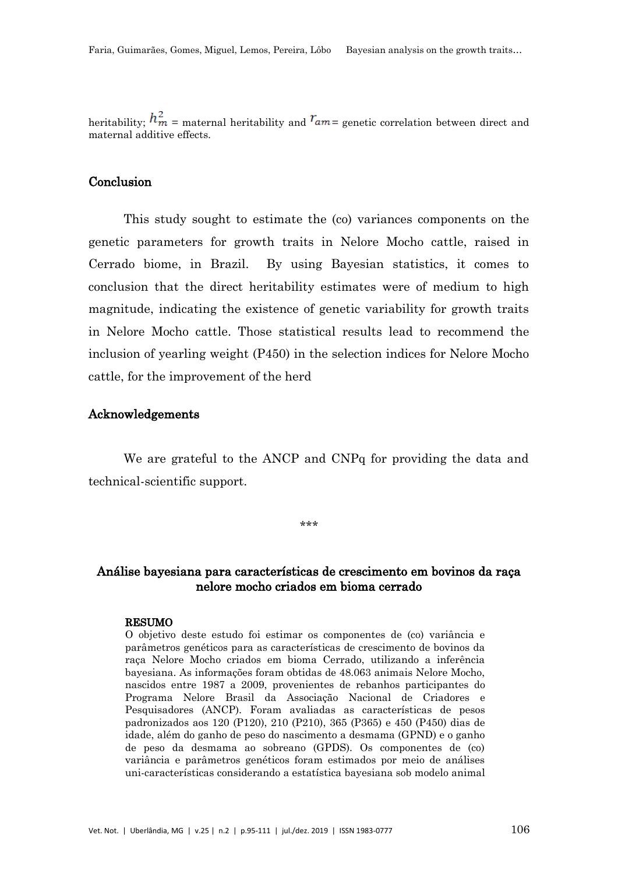heritability;  $h_m^2$  = maternal heritability and  $r_{am}$  = genetic correlation between direct and maternal additive effects.

# **Conclusion**

This study sought to estimate the (co) variances components on the genetic parameters for growth traits in Nelore Mocho cattle, raised in Cerrado biome, in Brazil. By using Bayesian statistics, it comes to conclusion that the direct heritability estimates were of medium to high magnitude, indicating the existence of genetic variability for growth traits in Nelore Mocho cattle. Those statistical results lead to recommend the inclusion of yearling weight (P450) in the selection indices for Nelore Mocho cattle, for the improvement of the herd

## Acknowledgements

We are grateful to the ANCP and CNPq for providing the data and technical-scientific support.

\*\*\*

# Análise bayesiana para características de crescimento em bovinos da raça nelore mocho criados em bioma cerrado

#### RESUMO

O objetivo deste estudo foi estimar os componentes de (co) variância e parâmetros genéticos para as características de crescimento de bovinos da raça Nelore Mocho criados em bioma Cerrado, utilizando a inferência bayesiana. As informações foram obtidas de 48.063 animais Nelore Mocho, nascidos entre 1987 a 2009, provenientes de rebanhos participantes do Programa Nelore Brasil da Associação Nacional de Criadores e Pesquisadores (ANCP). Foram avaliadas as características de pesos padronizados aos 120 (P120), 210 (P210), 365 (P365) e 450 (P450) dias de idade, além do ganho de peso do nascimento a desmama (GPND) e o ganho de peso da desmama ao sobreano (GPDS). Os componentes de (co) variância e parâmetros genéticos foram estimados por meio de análises uni-características considerando a estatística bayesiana sob modelo animal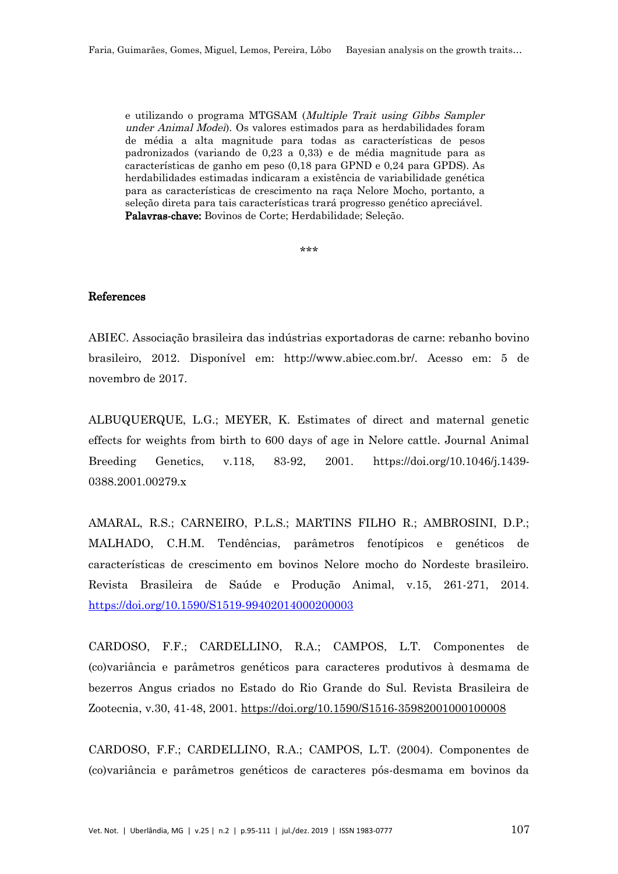e utilizando o programa MTGSAM (Multiple Trait using Gibbs Sampler under Animal Model). Os valores estimados para as herdabilidades foram de média a alta magnitude para todas as características de pesos padronizados (variando de 0,23 a 0,33) e de média magnitude para as características de ganho em peso (0,18 para GPND e 0,24 para GPDS). As herdabilidades estimadas indicaram a existência de variabilidade genética para as características de crescimento na raça Nelore Mocho, portanto, a seleção direta para tais características trará progresso genético apreciável. Palavras-chave: Bovinos de Corte; Herdabilidade; Seleção.

\*\*\*

#### References

ABIEC. Associação brasileira das indústrias exportadoras de carne: rebanho bovino brasileiro, 2012. Disponível em: http://www.abiec.com.br/. Acesso em: 5 de novembro de 2017.

ALBUQUERQUE, L.G.; MEYER, K. Estimates of direct and maternal genetic effects for weights from birth to 600 days of age in Nelore cattle. Journal Animal Breeding Genetics, v.118, 83-92, 2001. [https://doi.org/10.1046/j.1439-](https://doi.org/10.1046/j.1439-0388.2001.00279.x) [0388.2001.00279.x](https://doi.org/10.1046/j.1439-0388.2001.00279.x)

AMARAL, R.S.; CARNEIRO, P.L.S.; MARTINS FILHO R.; AMBROSINI, D.P.; MALHADO, C.H.M. Tendências, parâmetros fenotípicos e genéticos de características de crescimento em bovinos Nelore mocho do Nordeste brasileiro. Revista Brasileira de Saúde e Produção Animal, v.15, 261-271, 2014. <https://doi.org/10.1590/S1519-99402014000200003>

CARDOSO, F.F.; CARDELLINO, R.A.; CAMPOS, L.T. Componentes de (co)variância e parâmetros genéticos para caracteres produtivos à desmama de bezerros Angus criados no Estado do Rio Grande do Sul. Revista Brasileira de Zootecnia, v.30, 41-48, 2001.<https://doi.org/10.1590/S1516-35982001000100008>

CARDOSO, F.F.; CARDELLINO, R.A.; CAMPOS, L.T. (2004). Componentes de (co)variância e parâmetros genéticos de caracteres pós-desmama em bovinos da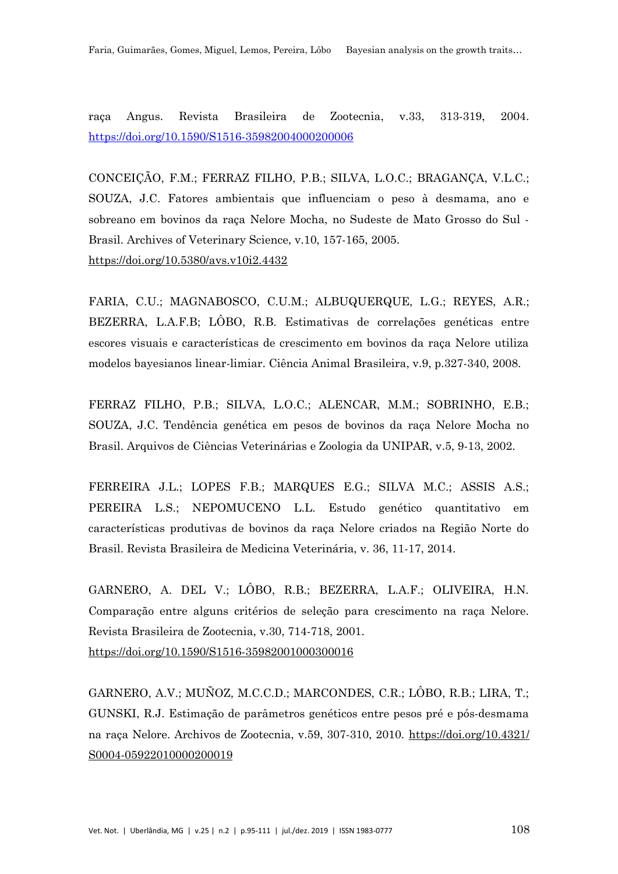raça Angus. Revista Brasileira de Zootecnia, v.33, 313-319, 2004. <https://doi.org/10.1590/S1516-35982004000200006>

CONCEIÇÃO, F.M.; FERRAZ FILHO, P.B.; SILVA, L.O.C.; BRAGANÇA, V.L.C.; SOUZA, J.C. Fatores ambientais que influenciam o peso à desmama, ano e sobreano em bovinos da raça Nelore Mocha, no Sudeste de Mato Grosso do Sul - Brasil. Archives of Veterinary Science, v.10, 157-165, 2005. <https://doi.org/10.5380/avs.v10i2.4432>

FARIA, C.U.; MAGNABOSCO, C.U.M.; ALBUQUERQUE, L.G.; REYES, A.R.; BEZERRA, L.A.F.B; LÔBO, R.B. Estimativas de correlações genéticas entre escores visuais e características de crescimento em bovinos da raça Nelore utiliza modelos bayesianos linear-limiar. Ciência Animal Brasileira, v.9, p.327-340, 2008.

FERRAZ FILHO, P.B.; SILVA, L.O.C.; ALENCAR, M.M.; SOBRINHO, E.B.; SOUZA, J.C. Tendência genética em pesos de bovinos da raça Nelore Mocha no Brasil. Arquivos de Ciências Veterinárias e Zoologia da UNIPAR, v.5, 9-13, 2002.

FERREIRA J.L.; LOPES F.B.; MARQUES E.G.; SILVA M.C.; ASSIS A.S.; PEREIRA L.S.; NEPOMUCENO L.L. Estudo genético quantitativo em características produtivas de bovinos da raça Nelore criados na Região Norte do Brasil. Revista Brasileira de Medicina Veterinária, v. 36, 11-17, 2014.

GARNERO, A. DEL V.; LÔBO, R.B.; BEZERRA, L.A.F.; OLIVEIRA, H.N. Comparação entre alguns critérios de seleção para crescimento na raça Nelore. Revista Brasileira de Zootecnia, v.30, 714-718, 2001. <https://doi.org/10.1590/S1516-35982001000300016>

GARNERO, A.V.; MUÑOZ, M.C.C.D.; MARCONDES, C.R.; LÔBO, R.B.; LIRA, T.; GUNSKI, R.J. Estimação de parâmetros genéticos entre pesos pré e pós-desmama na raça Nelore. Archivos de Zootecnia, v.59, 307-310, 2010. [https://doi.org/10.4321/](https://doi.org/10.4321/S0004-05922010000200019) [S0004-05922010000200019](https://doi.org/10.4321/S0004-05922010000200019)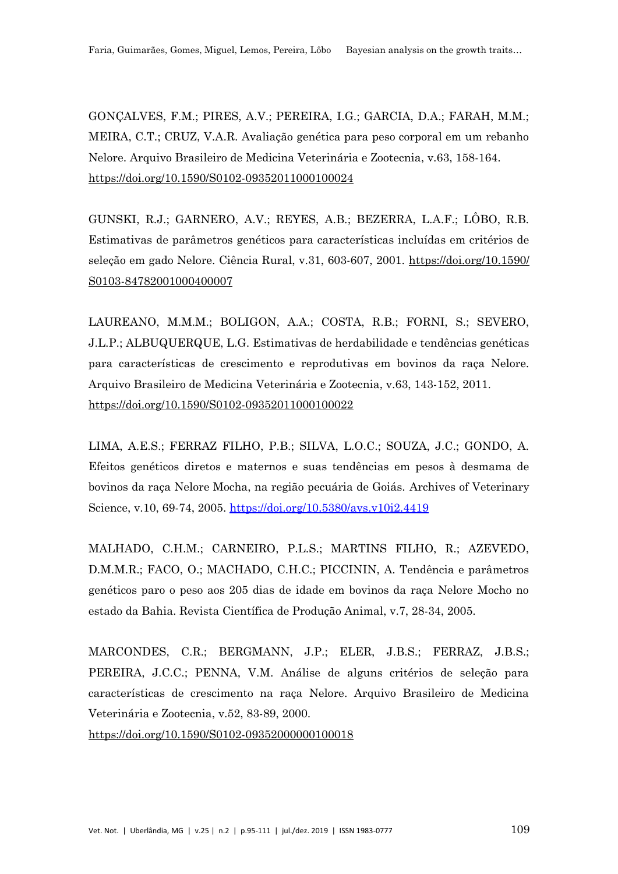GONÇALVES, F.M.; PIRES, A.V.; PEREIRA, I.G.; GARCIA, D.A.; FARAH, M.M.; MEIRA, C.T.; CRUZ, V.A.R. Avaliação genética para peso corporal em um rebanho Nelore. Arquivo Brasileiro de Medicina Veterinária e Zootecnia, v.63, 158-164. <https://doi.org/10.1590/S0102-09352011000100024>

GUNSKI, R.J.; GARNERO, A.V.; REYES, A.B.; BEZERRA, L.A.F.; LÔBO, R.B. Estimativas de parâmetros genéticos para características incluídas em critérios de seleção em gado Nelore. Ciência Rural, v.31, 603-607, 2001. [https://doi.org/10.1590/](https://doi.org/10.1590/S0103-84782001000400007) [S0103-84782001000400007](https://doi.org/10.1590/S0103-84782001000400007)

LAUREANO, M.M.M.; BOLIGON, A.A.; COSTA, R.B.; FORNI, S.; SEVERO, J.L.P.; ALBUQUERQUE, L.G. Estimativas de herdabilidade e tendências genéticas para características de crescimento e reprodutivas em bovinos da raça Nelore. Arquivo Brasileiro de Medicina Veterinária e Zootecnia, v.63, 143-152, 2011. <https://doi.org/10.1590/S0102-09352011000100022>

LIMA, A.E.S.; FERRAZ FILHO, P.B.; SILVA, L.O.C.; SOUZA, J.C.; GONDO, A. Efeitos genéticos diretos e maternos e suas tendências em pesos à desmama de bovinos da raça Nelore Mocha, na região pecuária de Goiás. Archives of Veterinary Science, v.10, 69-74, 2005.<https://doi.org/10.5380/avs.v10i2.4419>

MALHADO, C.H.M.; CARNEIRO, P.L.S.; MARTINS FILHO, R.; AZEVEDO, D.M.M.R.; FACO, O.; MACHADO, C.H.C.; PICCININ, A. Tendência e parâmetros genéticos paro o peso aos 205 dias de idade em bovinos da raça Nelore Mocho no estado da Bahia. Revista Científica de Produção Animal, v.7, 28-34, 2005.

MARCONDES, C.R.; BERGMANN, J.P.; ELER, J.B.S.; FERRAZ, J.B.S.; PEREIRA, J.C.C.; PENNA, V.M. Análise de alguns critérios de seleção para características de crescimento na raça Nelore. Arquivo Brasileiro de Medicina Veterinária e Zootecnia, v.52, 83-89, 2000.

<https://doi.org/10.1590/S0102-09352000000100018>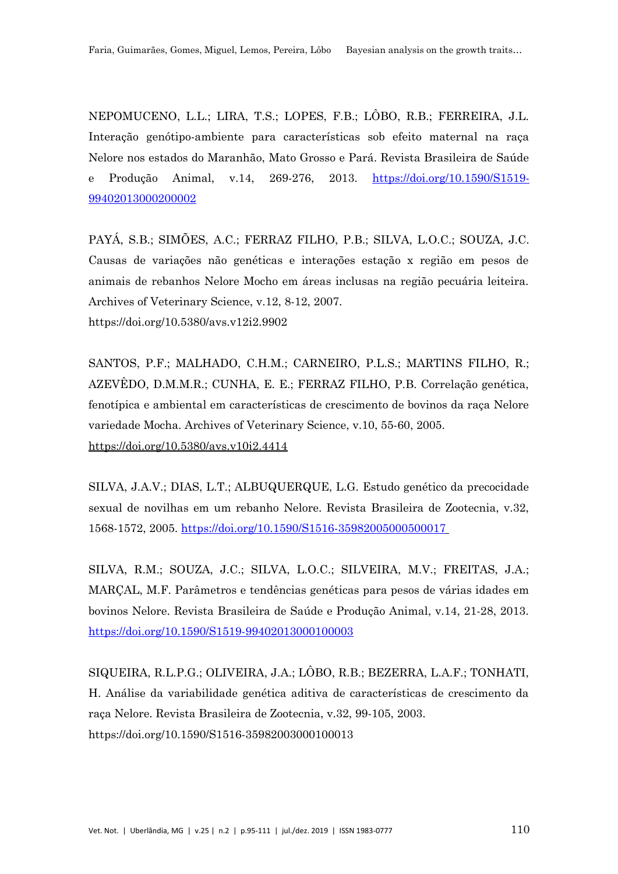NEPOMUCENO, L.L.; LIRA, T.S.; LOPES, F.B.; LÔBO, R.B.; FERREIRA, J.L. Interação genótipo-ambiente para características sob efeito maternal na raça Nelore nos estados do Maranhão, Mato Grosso e Pará. Revista Brasileira de Saúde e Produção Animal, v.14, 269-276, 2013. [https://doi.org/10.1590/S1519-](https://doi.org/10.1590/S1519-99402013000200002) [99402013000200002](https://doi.org/10.1590/S1519-99402013000200002)

PAYÁ, S.B.; SIMÕES, A.C.; FERRAZ FILHO, P.B.; SILVA, L.O.C.; SOUZA, J.C. Causas de variações não genéticas e interações estação x região em pesos de animais de rebanhos Nelore Mocho em áreas inclusas na região pecuária leiteira. Archives of Veterinary Science, v.12, 8-12, 2007. <https://doi.org/10.5380/avs.v12i2.9902>

SANTOS, P.F.; MALHADO, C.H.M.; CARNEIRO, P.L.S.; MARTINS FILHO, R.; AZEVÊDO, D.M.M.R.; CUNHA, E. E.; FERRAZ FILHO, P.B. Correlação genética, fenotípica e ambiental em características de crescimento de bovinos da raça Nelore variedade Mocha. Archives of Veterinary Science, v.10, 55-60, 2005. <https://doi.org/10.5380/avs.v10i2.4414>

SILVA, J.A.V.; DIAS, L.T.; ALBUQUERQUE, L.G. Estudo genético da precocidade sexual de novilhas em um rebanho Nelore. Revista Brasileira de Zootecnia, v.32, 1568-1572, 2005.<https://doi.org/10.1590/S1516-35982005000500017>

SILVA, R.M.; SOUZA, J.C.; SILVA, L.O.C.; SILVEIRA, M.V.; FREITAS, J.A.; MARÇAL, M.F. Parâmetros e tendências genéticas para pesos de várias idades em bovinos Nelore. Revista Brasileira de Saúde e Produção Animal, v.14, 21-28, 2013. <https://doi.org/10.1590/S1519-99402013000100003>

SIQUEIRA, R.L.P.G.; OLIVEIRA, J.A.; LÔBO, R.B.; BEZERRA, L.A.F.; TONHATI, H. Análise da variabilidade genética aditiva de características de crescimento da raça Nelore. Revista Brasileira de Zootecnia, v.32, 99-105, 2003. <https://doi.org/10.1590/S1516-35982003000100013>